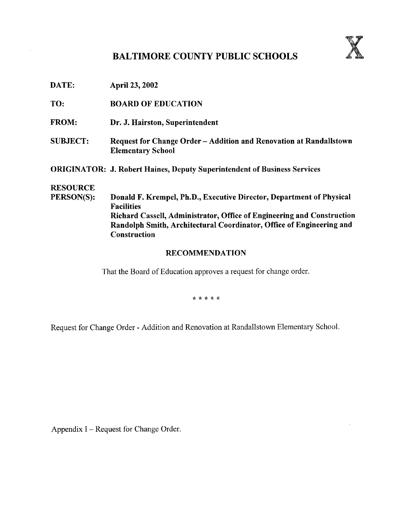## BALTIMORE COUNTY PUBLIC SCHOOLS



|  | April 23, 2002 |
|--|----------------|

- TO: BOARD OF EDUCATION
- FROM: Dr. J. Hairston, Superintendent
- SUBJECT: Request for Change Order Addition and Renovation at Randallstown Elementary School
- ORIGINATOR: J. Robert Haines, Deputy Superintendent of Business Services

# **RESOURCE**<br>PERSON(S):

 $\sim$ 

Donald F. Krempel, Ph.D., Executive Director, Department of Physical Facilities Richard Cassell, Administrator, Office of Engineering and Construction Randolph Smith, Architectural Coordinator, Office of Engineering and Construction

#### RECOMMENDATION

That the Board of Education approves a request for change order.

\* \* \* \* \*

Request for Change Order - Addition and Renovation at Randallstown Elementary School .

Appendix I – Request for Change Order.